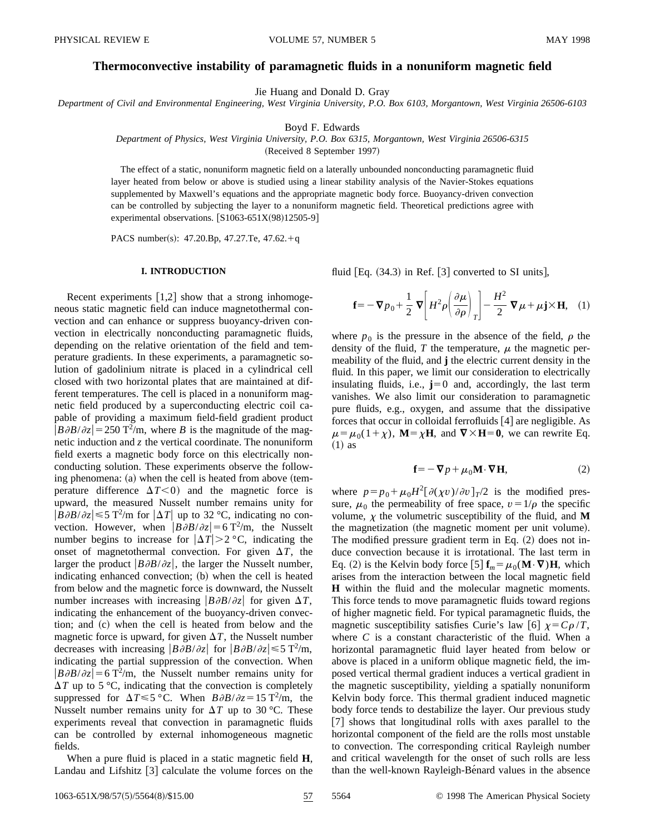## **Thermoconvective instability of paramagnetic fluids in a nonuniform magnetic field**

Jie Huang and Donald D. Gray

*Department of Civil and Environmental Engineering, West Virginia University, P.O. Box 6103, Morgantown, West Virginia 26506-6103*

Boyd F. Edwards

*Department of Physics, West Virginia University, P.O. Box 6315, Morgantown, West Virginia 26506-6315*

(Received 8 September 1997)

The effect of a static, nonuniform magnetic field on a laterally unbounded nonconducting paramagnetic fluid layer heated from below or above is studied using a linear stability analysis of the Navier-Stokes equations supplemented by Maxwell's equations and the appropriate magnetic body force. Buoyancy-driven convection can be controlled by subjecting the layer to a nonuniform magnetic field. Theoretical predictions agree with experimental observations.  $[S1063-651X(98)12505-9]$ 

PACS number(s):  $47.20 \text{Bp}$ ,  $47.27 \text{Te}$ ,  $47.62 + q$ 

## **I. INTRODUCTION**

Recent experiments  $[1,2]$  show that a strong inhomogeneous static magnetic field can induce magnetothermal convection and can enhance or suppress buoyancy-driven convection in electrically nonconducting paramagnetic fluids, depending on the relative orientation of the field and temperature gradients. In these experiments, a paramagnetic solution of gadolinium nitrate is placed in a cylindrical cell closed with two horizontal plates that are maintained at different temperatures. The cell is placed in a nonuniform magnetic field produced by a superconducting electric coil capable of providing a maximum field-field gradient product  $\left[ B\frac{\partial B}{\partial z} \right] = 250 \text{ T}^2/\text{m}$ , where *B* is the magnitude of the magnetic induction and *z* the vertical coordinate. The nonuniform field exerts a magnetic body force on this electrically nonconducting solution. These experiments observe the following phenomena:  $(a)$  when the cell is heated from above (temperature difference  $\Delta T < 0$  and the magnetic force is upward, the measured Nusselt number remains unity for  $|B \partial B / \partial z|$   $\leq$  5 T<sup>2</sup>/m for  $|\Delta T|$  up to 32 °C, indicating no convection. However, when  $B \frac{\partial B}{\partial z} = 6 \text{ T}^2/\text{m}$ , the Nusselt number begins to increase for  $|\Delta T| > 2$  °C, indicating the onset of magnetothermal convection. For given  $\Delta T$ , the larger the product  $\left|B\partial B/\partial z\right|$ , the larger the Nusselt number, indicating enhanced convection;  $(b)$  when the cell is heated from below and the magnetic force is downward, the Nusselt number increases with increasing  $\left|B\partial B/\partial z\right|$  for given  $\Delta T$ , indicating the enhancement of the buoyancy-driven convection; and (c) when the cell is heated from below and the magnetic force is upward, for given  $\Delta T$ , the Nusselt number decreases with increasing  $\left| B \frac{\partial B}{\partial z} \right|$  for  $\left| B \frac{\partial B}{\partial z} \right| \leq 5 \text{ T}^2/\text{m}$ , indicating the partial suppression of the convection. When  $\left| B\partial B/\partial z \right| = 6$  T<sup>2</sup>/m, the Nusselt number remains unity for  $\Delta T$  up to 5 °C, indicating that the convection is completely suppressed for  $\Delta T \le 5$  °C. When  $B \frac{\partial B}{\partial z} = 15 \text{ T}^2/\text{m}$ , the Nusselt number remains unity for  $\Delta T$  up to 30 °C. These experiments reveal that convection in paramagnetic fluids can be controlled by external inhomogeneous magnetic fields.

When a pure fluid is placed in a static magnetic field **H**, Landau and Lifshitz  $\lceil 3 \rceil$  calculate the volume forces on the fluid  $[Eq. (34.3)$  in Ref.  $[3]$  converted to SI units],

$$
\mathbf{f} = -\nabla p_0 + \frac{1}{2}\nabla \left[ H^2 \rho \left( \frac{\partial \mu}{\partial \rho} \right)_T \right] - \frac{H^2}{2}\nabla \mu + \mu \mathbf{j} \times \mathbf{H}, \quad (1)
$$

where  $p_0$  is the pressure in the absence of the field,  $\rho$  the density of the fluid,  $T$  the temperature,  $\mu$  the magnetic permeability of the fluid, and **j** the electric current density in the fluid. In this paper, we limit our consideration to electrically insulating fluids, i.e.,  $\mathbf{j} = 0$  and, accordingly, the last term vanishes. We also limit our consideration to paramagnetic pure fluids, e.g., oxygen, and assume that the dissipative forces that occur in colloidal ferrofluids  $[4]$  are negligible. As  $\mu = \mu_0(1+\chi)$ , **M**= $\chi$ **H**, and **V**×**H**=**0**, we can rewrite Eq.  $(1)$  as

$$
\mathbf{f} = -\nabla p + \mu_0 \mathbf{M} \cdot \nabla \mathbf{H},\tag{2}
$$

where  $p = p_0 + \mu_0 H^2 [\partial(\chi v)/\partial v]_T/2$  is the modified pressure,  $\mu_0$  the permeability of free space,  $v=1/\rho$  the specific volume,  $\chi$  the volumetric susceptibility of the fluid, and **M** the magnetization (the magnetic moment per unit volume). The modified pressure gradient term in Eq.  $(2)$  does not induce convection because it is irrotational. The last term in Eq. (2) is the Kelvin body force  $[5]$   $f_m = \mu_0(M \cdot \nabla)H$ , which arises from the interaction between the local magnetic field **H** within the fluid and the molecular magnetic moments. This force tends to move paramagnetic fluids toward regions of higher magnetic field. For typical paramagnetic fluids, the magnetic susceptibility satisfies Curie's law [6]  $\chi = C\rho/T$ , where *C* is a constant characteristic of the fluid. When a horizontal paramagnetic fluid layer heated from below or above is placed in a uniform oblique magnetic field, the imposed vertical thermal gradient induces a vertical gradient in the magnetic susceptibility, yielding a spatially nonuniform Kelvin body force. This thermal gradient induced magnetic body force tends to destabilize the layer. Our previous study [7] shows that longitudinal rolls with axes parallel to the horizontal component of the field are the rolls most unstable to convection. The corresponding critical Rayleigh number and critical wavelength for the onset of such rolls are less than the well-known Rayleigh-Benard values in the absence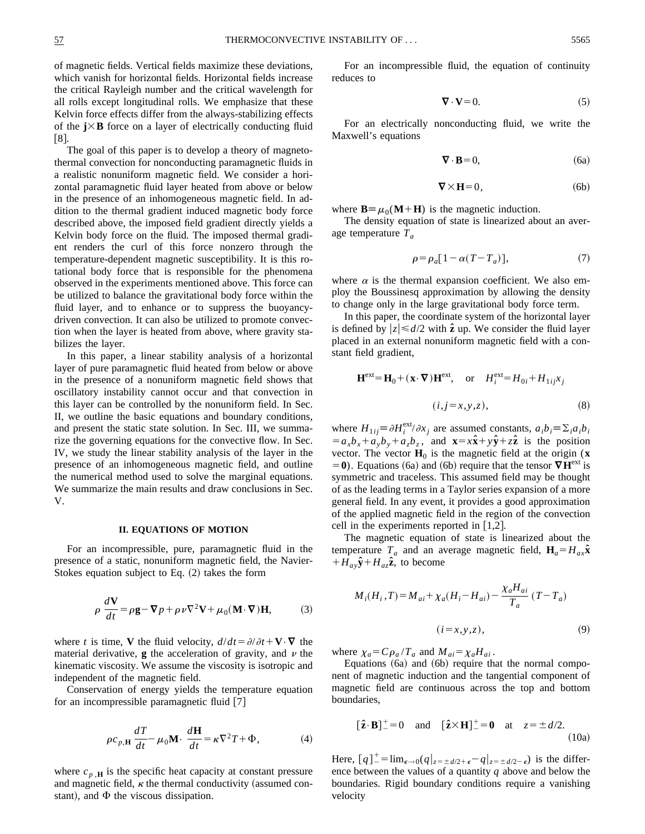of magnetic fields. Vertical fields maximize these deviations, which vanish for horizontal fields. Horizontal fields increase the critical Rayleigh number and the critical wavelength for all rolls except longitudinal rolls. We emphasize that these Kelvin force effects differ from the always-stabilizing effects of the  $j \times B$  force on a layer of electrically conducting fluid  $\lfloor 8 \rfloor$ .

The goal of this paper is to develop a theory of magnetothermal convection for nonconducting paramagnetic fluids in a realistic nonuniform magnetic field. We consider a horizontal paramagnetic fluid layer heated from above or below in the presence of an inhomogeneous magnetic field. In addition to the thermal gradient induced magnetic body force described above, the imposed field gradient directly yields a Kelvin body force on the fluid. The imposed thermal gradient renders the curl of this force nonzero through the temperature-dependent magnetic susceptibility. It is this rotational body force that is responsible for the phenomena observed in the experiments mentioned above. This force can be utilized to balance the gravitational body force within the fluid layer, and to enhance or to suppress the buoyancydriven convection. It can also be utilized to promote convection when the layer is heated from above, where gravity stabilizes the layer.

In this paper, a linear stability analysis of a horizontal layer of pure paramagnetic fluid heated from below or above in the presence of a nonuniform magnetic field shows that oscillatory instability cannot occur and that convection in this layer can be controlled by the nonuniform field. In Sec. II, we outline the basic equations and boundary conditions, and present the static state solution. In Sec. III, we summarize the governing equations for the convective flow. In Sec. IV, we study the linear stability analysis of the layer in the presence of an inhomogeneous magnetic field, and outline the numerical method used to solve the marginal equations. We summarize the main results and draw conclusions in Sec. V.

#### **II. EQUATIONS OF MOTION**

For an incompressible, pure, paramagnetic fluid in the presence of a static, nonuniform magnetic field, the Navier-Stokes equation subject to Eq.  $(2)$  takes the form

$$
\rho \frac{d\mathbf{V}}{dt} = \rho \mathbf{g} - \nabla p + \rho \nu \nabla^2 \mathbf{V} + \mu_0 (\mathbf{M} \cdot \nabla) \mathbf{H},
$$
 (3)

where *t* is time, **V** the fluid velocity,  $d/dt = \partial/\partial t + \mathbf{V} \cdot \nabla$  the material derivative,  $g$  the acceleration of gravity, and  $\nu$  the kinematic viscosity. We assume the viscosity is isotropic and independent of the magnetic field.

Conservation of energy yields the temperature equation for an incompressible paramagnetic fluid  $[7]$ 

$$
\rho c_{p,\mathbf{H}} \frac{dT}{dt} - \mu_0 \mathbf{M} \cdot \frac{d\mathbf{H}}{dt} = \kappa \nabla^2 T + \Phi,
$$
 (4)

where  $c_{p,H}$  is the specific heat capacity at constant pressure and magnetic field,  $\kappa$  the thermal conductivity (assumed constant), and  $\Phi$  the viscous dissipation.

For an incompressible fluid, the equation of continuity reduces to

$$
\nabla \cdot \mathbf{V} = 0. \tag{5}
$$

For an electrically nonconducting fluid, we write the Maxwell's equations

$$
\nabla \cdot \mathbf{B} = 0,\tag{6a}
$$

$$
\nabla \times \mathbf{H} = 0,\tag{6b}
$$

where  $\mathbf{B} \equiv \mu_0(\mathbf{M} + \mathbf{H})$  is the magnetic induction.

The density equation of state is linearized about an average temperature *Ta*

$$
\rho = \rho_a [1 - \alpha (T - T_a)],\tag{7}
$$

where  $\alpha$  is the thermal expansion coefficient. We also employ the Boussinesq approximation by allowing the density to change only in the large gravitational body force term.

In this paper, the coordinate system of the horizontal layer is defined by  $|z| \le d/2$  with  $\hat{z}$  up. We consider the fluid layer placed in an external nonuniform magnetic field with a constant field gradient,

$$
\mathbf{H}^{\text{ext}} = \mathbf{H}_0 + (\mathbf{x} \cdot \nabla) \mathbf{H}^{\text{ext}}, \text{ or } H_i^{\text{ext}} = H_{0i} + H_{1ij} x_j
$$
  
(*i*, *j* = *x*, *y*, *z*), (8)

where  $H_{1ij} \equiv \partial H_i^{\text{ext}}/\partial x_j$  are assumed constants,  $a_i b_i \equiv \sum_i a_i b_i$  $=a_xb_x+a_yb_y+a_zb_z$ , and  $\mathbf{x}=x\hat{\mathbf{x}}+y\hat{\mathbf{y}}+z\hat{\mathbf{z}}$  is the position vector. The vector  $H_0$  is the magnetic field at the origin (**x**  $= 0$ ). Equations (6a) and (6b) require that the tensor  $\nabla H^{\text{ext}}$  is symmetric and traceless. This assumed field may be thought of as the leading terms in a Taylor series expansion of a more general field. In any event, it provides a good approximation of the applied magnetic field in the region of the convection cell in the experiments reported in  $[1,2]$ .

The magnetic equation of state is linearized about the temperature  $T_a$  and an average magnetic field,  $H_a = H_{ax} \hat{x}$  $H_{av}\hat{\mathbf{y}} + H_{az}\hat{\mathbf{z}}$ , to become

$$
M_i(H_i, T) = M_{ai} + \chi_a(H_i - H_{ai}) - \frac{\chi_a H_{ai}}{T_a} (T - T_a)
$$
  
(*i* = *x, y, z*), (9)

where  $\chi_a = C \rho_a / T_a$  and  $M_{ai} = \chi_a H_{ai}$ .

Equations  $(6a)$  and  $(6b)$  require that the normal component of magnetic induction and the tangential component of magnetic field are continuous across the top and bottom boundaries,

$$
\begin{bmatrix} \hat{\mathbf{z}} \cdot \mathbf{B} \end{bmatrix}_{-}^{+} = 0 \quad \text{and} \quad \begin{bmatrix} \hat{\mathbf{z}} \times \mathbf{H} \end{bmatrix}_{-}^{+} = 0 \quad \text{at} \quad z = \pm d/2. \tag{10a}
$$

Here,  $[q]_+^+$  =  $\lim_{\epsilon \to 0} (q|_{z=\pm d/2+\epsilon} - q|_{z=\pm d/2-\epsilon})$  is the difference between the values of a quantity *q* above and below the boundaries. Rigid boundary conditions require a vanishing velocity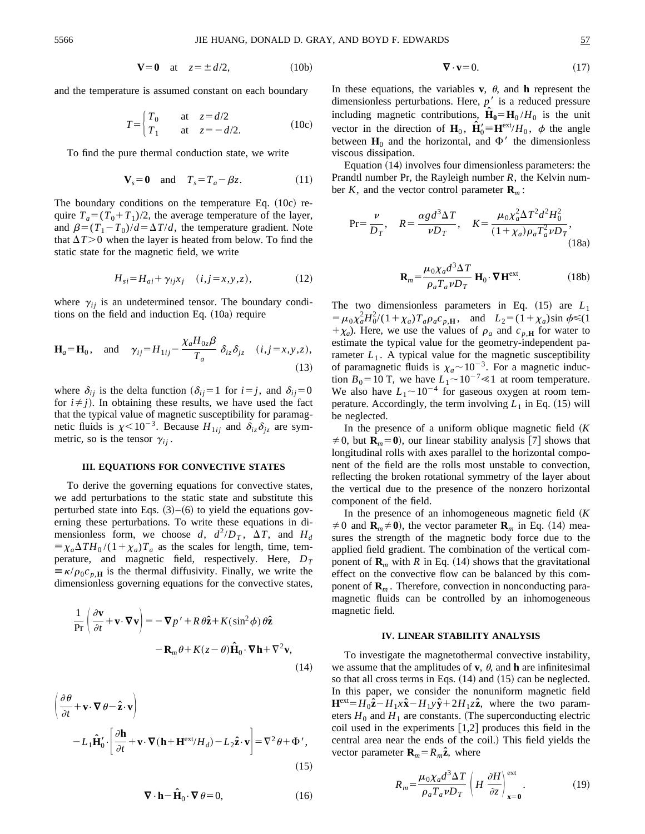$$
\overline{57}
$$

$$
V=0 \quad \text{at} \quad z = \pm d/2, \tag{10b}
$$

and the temperature is assumed constant on each boundary

$$
T = \begin{cases} T_0 & \text{at } z = d/2 \\ T_1 & \text{at } z = -d/2. \end{cases} \tag{10c}
$$

To find the pure thermal conduction state, we write

$$
\mathbf{V}_s = \mathbf{0} \quad \text{and} \quad T_s = T_a - \beta z. \tag{11}
$$

The boundary conditions on the temperature Eq.  $(10c)$  require  $T_a = (T_0 + T_1)/2$ , the average temperature of the layer, and  $\beta = (T_1 - T_0)/d = \Delta T/d$ , the temperature gradient. Note that  $\Delta T > 0$  when the layer is heated from below. To find the static state for the magnetic field, we write

$$
H_{si} = H_{ai} + \gamma_{ij} x_j \quad (i, j = x, y, z), \tag{12}
$$

where  $\gamma_{ij}$  is an undetermined tensor. The boundary conditions on the field and induction Eq.  $(10a)$  require

$$
\mathbf{H}_a = \mathbf{H}_0, \text{ and } \gamma_{ij} = H_{1ij} - \frac{\chi_a H_{0z} \beta}{T_a} \delta_{iz} \delta_{jz} \quad (i, j = x, y, z),
$$
\n(13)

where  $\delta_{ij}$  is the delta function  $(\delta_{ij}=1$  for  $i=j$ , and  $\delta_{ij}=0$ for  $i \neq j$ ). In obtaining these results, we have used the fact that the typical value of magnetic susceptibility for paramagnetic fluids is  $\chi$ <10<sup>-3</sup>. Because *H*<sub>1*ij*</sub> and  $\delta_{iz}\delta_{jz}$  are symmetric, so is the tensor  $\gamma_{ij}$ .

#### **III. EQUATIONS FOR CONVECTIVE STATES**

To derive the governing equations for convective states, we add perturbations to the static state and substitute this perturbed state into Eqs.  $(3)$ – $(6)$  to yield the equations governing these perturbations. To write these equations in dimensionless form, we choose *d*,  $d^2/D_T$ ,  $\Delta T$ , and  $H_d$  $\equiv \chi_a \Delta T H_0 / (1 + \chi_a) T_a$  as the scales for length, time, temperature, and magnetic field, respectively. Here,  $D_T$  $\equiv \kappa/\rho_0 c_{p,H}$  is the thermal diffusivity. Finally, we write the dimensionless governing equations for the convective states,

$$
\frac{1}{\Pr} \left( \frac{\partial \mathbf{v}}{\partial t} + \mathbf{v} \cdot \nabla \mathbf{v} \right) = -\nabla p' + R \theta \hat{\mathbf{z}} + K(\sin^2 \phi) \theta \hat{\mathbf{z}} \n- \mathbf{R}_m \theta + K(z - \theta) \hat{\mathbf{H}}_0 \cdot \nabla \mathbf{h} + \nabla^2 \mathbf{v},
$$
\n(14)

$$
\left(\frac{\partial \theta}{\partial t} + \mathbf{v} \cdot \nabla \theta - \hat{\mathbf{z}} \cdot \mathbf{v}\right)
$$

$$
-L_1 \hat{\mathbf{H}}_0' \cdot \left[\frac{\partial \mathbf{h}}{\partial t} + \mathbf{v} \cdot \nabla (\mathbf{h} + \mathbf{H}^{\text{ext}} / H_d) - L_2 \hat{\mathbf{z}} \cdot \mathbf{v}\right] = \nabla^2 \theta + \Phi',
$$
(15)

$$
\nabla \cdot \mathbf{h} - \hat{\mathbf{H}}_0 \cdot \nabla \theta = 0, \tag{16}
$$

$$
\nabla \cdot \mathbf{v} = 0. \tag{17}
$$

In these equations, the variables **v**,  $\theta$ , and **h** represent the dimensionless perturbations. Here,  $p<sup>7</sup>$  is a reduced pressure including magnetic contributions,  $\mathbf{H}_0 = \mathbf{H}_0 / H_0$  is the unit vector in the direction of  $H_0$ ,  $\hat{H}'_0 = H^{\text{ext}}/H_0$ ,  $\phi$  the angle between  $H_0$  and the horizontal, and  $\Phi'$  the dimensionless viscous dissipation.

Equation  $(14)$  involves four dimensionless parameters: the Prandtl number Pr, the Rayleigh number *R*, the Kelvin number *K*, and the vector control parameter  $\mathbf{R}_m$ :

$$
\Pr = \frac{\nu}{D_T}, \quad R = \frac{\alpha g d^3 \Delta T}{\nu D_T}, \quad K = \frac{\mu_0 \chi_a^2 \Delta T^2 d^2 H_0^2}{(1 + \chi_a) \rho_a T_a^2 \nu D_T},
$$
(18a)

$$
\mathbf{R}_m = \frac{\mu_0 \chi_a d^3 \Delta T}{\rho_a T_a \nu D_T} \mathbf{H}_0 \cdot \nabla \mathbf{H}^{\text{ext}}.
$$
 (18b)

The two dimensionless parameters in Eq.  $(15)$  are  $L_1$  $= \mu_0 \chi_a^2 H_0^2 / (1 + \chi_a) T_a \rho_a c_{p,\mathbf{H}}$ , and  $L_2 = (1 + \chi_a) \sin \phi \leq (1 + \chi_a) T_a$  $+\chi_a$ ). Here, we use the values of  $\rho_a$  and  $c_{p,H}$  for water to estimate the typical value for the geometry-independent parameter  $L_1$ . A typical value for the magnetic susceptibility of paramagnetic fluids is  $\chi_a \sim 10^{-3}$ . For a magnetic induction  $B_0 = 10$  T, we have  $L_1 \sim 10^{-7} \ll 1$  at room temperature. We also have  $L_1 \sim 10^{-4}$  for gaseous oxygen at room temperature. Accordingly, the term involving  $L_1$  in Eq. (15) will be neglected.

In the presence of a uniform oblique magnetic field  $(K$  $\neq 0$ , but **R**<sub>m</sub>=0), our linear stability analysis [7] shows that longitudinal rolls with axes parallel to the horizontal component of the field are the rolls most unstable to convection, reflecting the broken rotational symmetry of the layer about the vertical due to the presence of the nonzero horizontal component of the field.

In the presence of an inhomogeneous magnetic field  $(K$  $\neq 0$  and  $\mathbf{R}_m \neq 0$ ), the vector parameter  $\mathbf{R}_m$  in Eq. (14) measures the strength of the magnetic body force due to the applied field gradient. The combination of the vertical component of  $\mathbf{R}_m$  with *R* in Eq. (14) shows that the gravitational effect on the convective flow can be balanced by this component of **R***<sup>m</sup>* . Therefore, convection in nonconducting paramagnetic fluids can be controlled by an inhomogeneous magnetic field.

#### **IV. LINEAR STABILITY ANALYSIS**

To investigate the magnetothermal convective instability, we assume that the amplitudes of **v**,  $\theta$ , and **h** are infinitesimal so that all cross terms in Eqs.  $(14)$  and  $(15)$  can be neglected. In this paper, we consider the nonuniform magnetic field  $\mathbf{H}^{\text{ext}} = H_0 \hat{\mathbf{z}} - H_1 x \hat{\mathbf{x}} - H_1 y \hat{\mathbf{y}} + 2H_1 z \hat{\mathbf{z}}$ , where the two parameters  $H_0$  and  $H_1$  are constants. (The superconducting electric coil used in the experiments  $[1,2]$  produces this field in the central area near the ends of the coil.) This field yields the vector parameter  $\mathbf{R}_m = R_m \hat{\mathbf{z}}$ , where

$$
R_m = \frac{\mu_0 \chi_a d^3 \Delta T}{\rho_a T_a \nu D_T} \left( H \frac{\partial H}{\partial z} \right)_{\mathbf{x} = \mathbf{0}}^{\text{ext}}.
$$
 (19)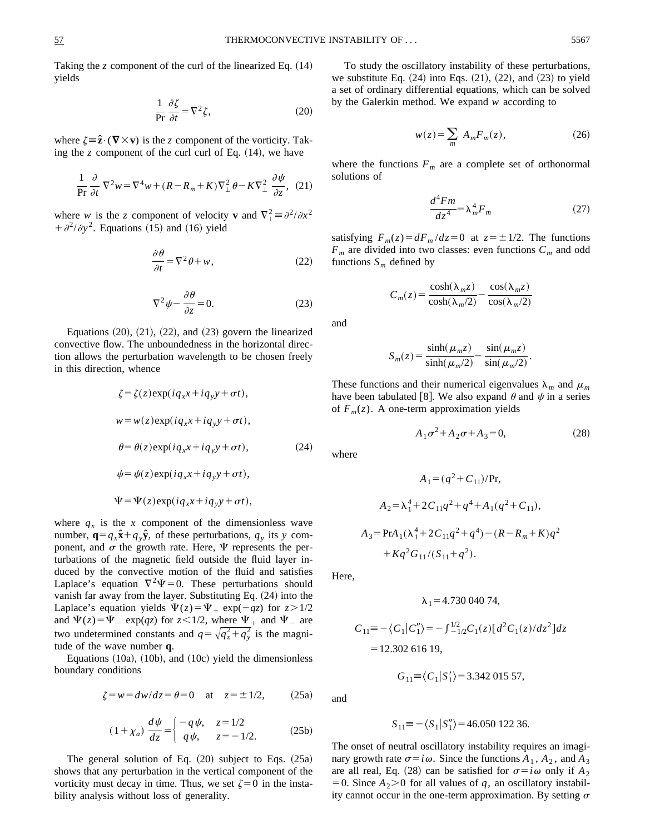Taking the  $\zeta$  component of the curl of the linearized Eq.  $(14)$ yields

$$
\frac{1}{\text{Pr}} \frac{\partial \zeta}{\partial t} = \nabla^2 \zeta,\tag{20}
$$

where  $\zeta = \hat{\mathbf{z}} \cdot (\nabla \times \mathbf{v})$  is the *z* component of the vorticity. Taking the  $z$  component of the curl curl of Eq.  $(14)$ , we have

$$
\frac{1}{\Pr} \frac{\partial}{\partial t} \nabla^2 w = \nabla^4 w + (R - R_m + K) \nabla^2_{\perp} \theta - K \nabla^2_{\perp} \frac{\partial \psi}{\partial z}, \tag{21}
$$

where *w* is the *z* component of velocity **v** and  $\nabla^2 = \frac{\partial^2}{\partial x^2}$  $+\partial^2/\partial y^2$ . Equations (15) and (16) yield

$$
\frac{\partial \theta}{\partial t} = \nabla^2 \theta + w,\tag{22}
$$

$$
\nabla^2 \psi - \frac{\partial \theta}{\partial z} = 0.
$$
 (23)

Equations  $(20)$ ,  $(21)$ ,  $(22)$ , and  $(23)$  govern the linearized convective flow. The unboundedness in the horizontal direction allows the perturbation wavelength to be chosen freely in this direction, whence

$$
\zeta = \zeta(z) \exp(i q_x x + i q_y y + \sigma t),
$$
  
\n
$$
w = w(z) \exp(i q_x x + i q_y y + \sigma t),
$$
  
\n
$$
\theta = \theta(z) \exp(i q_x x + i q_y y + \sigma t),
$$
  
\n
$$
\psi = \psi(z) \exp(i q_x x + i q_y y + \sigma t),
$$
  
\n
$$
\Psi = \Psi(z) \exp(i q_x x + i q_y y + \sigma t),
$$
  
\n(24)

where  $q_x$  is the x component of the dimensionless wave number,  $\mathbf{q} = q_x \hat{\mathbf{x}} + q_y \hat{\mathbf{y}}$ , of these perturbations,  $q_y$  its y component, and  $\sigma$  the growth rate. Here,  $\Psi$  represents the perturbations of the magnetic field outside the fluid layer induced by the convective motion of the fluid and satisfies Laplace's equation  $\nabla^2 \Psi = 0$ . These perturbations should vanish far away from the layer. Substituting Eq.  $(24)$  into the Laplace's equation yields  $\Psi(z) = \Psi_+ \exp(-qz)$  for  $z > 1/2$ and  $\Psi(z) = \Psi$  – exp(*qz*) for  $z \leq 1/2$ , where  $\Psi$  + and  $\Psi$  – are two undetermined constants and  $q = \sqrt{q_x^2 + q_y^2}$  is the magnitude of the wave number **q**.

Equations  $(10a)$ ,  $(10b)$ , and  $(10c)$  yield the dimensionless boundary conditions

$$
\zeta = w = dw/dz = \theta = 0
$$
 at  $z = \pm 1/2$ , (25a)

$$
(1 + \chi_a) \frac{d\psi}{dz} = \begin{cases} -q\psi, & z = 1/2 \\ q\psi, & z = -1/2. \end{cases}
$$
 (25b)

The general solution of Eq.  $(20)$  subject to Eqs.  $(25a)$ shows that any perturbation in the vertical component of the vorticity must decay in time. Thus, we set  $\zeta=0$  in the instability analysis without loss of generality.

To study the oscillatory instability of these perturbations, we substitute Eq.  $(24)$  into Eqs.  $(21)$ ,  $(22)$ , and  $(23)$  to yield a set of ordinary differential equations, which can be solved by the Galerkin method. We expand *w* according to

$$
w(z) = \sum_{m} A_m F_m(z), \qquad (26)
$$

where the functions  $F_m$  are a complete set of orthonormal solutions of

$$
\frac{d^4Fm}{dz^4} = \lambda_m^4 F_m \tag{27}
$$

satisfying  $F_m(z) = dF_m/dz = 0$  at  $z = \pm 1/2$ . The functions  $F_m$  are divided into two classes: even functions  $C_m$  and odd functions  $S_m$  defined by

$$
C_m(z) = \frac{\cosh(\lambda_m z)}{\cosh(\lambda_m/2)} - \frac{\cos(\lambda_m z)}{\cos(\lambda_m/2)}
$$

and

$$
S_m(z) = \frac{\sinh(\mu_m z)}{\sinh(\mu_m/2)} - \frac{\sin(\mu_m z)}{\sin(\mu_m/2)}.
$$

These functions and their numerical eigenvalues  $\lambda_m$  and  $\mu_m$ have been tabulated [8]. We also expand  $\theta$  and  $\psi$  in a series of  $F_m(z)$ . A one-term approximation yields

$$
A_1 \sigma^2 + A_2 \sigma + A_3 = 0,\tag{28}
$$

where

$$
A_1 = (q^2 + C_{11})/\text{Pr},
$$
  
\n
$$
A_2 = \lambda_1^4 + 2C_{11}q^2 + q^4 + A_1(q^2 + C_{11}),
$$
  
\n
$$
A_3 = \text{Pr}A_1(\lambda_1^4 + 2C_{11}q^2 + q^4) - (R - R_m + K)q^2
$$
  
\n
$$
+ Kq^2G_{11}/(S_{11} + q^2).
$$

Here,

# $\lambda_1$  = 4.730 040 74,

$$
C_{11} = -\langle C_1 | C_1'' \rangle = -\int_{-1/2}^{1/2} C_1(z) [d^2 C_1(z)/dz^2] dz
$$
  
= 12.302 616 19,

 $G_{11}$   $\equiv$   $\langle C_1 | S_1' \rangle$   $=$  3.342 015 57,

and

$$
S_{11} = -\langle S_1 | S_1'' \rangle = 46.050 \; 122 \; 36.
$$

The onset of neutral oscillatory instability requires an imaginary growth rate  $\sigma = i\omega$ . Since the functions  $A_1, A_2$ , and  $A_3$ are all real, Eq. (28) can be satisfied for  $\sigma = i\omega$  only if  $A_2$  $=0$ . Since  $A_2>0$  for all values of q, an oscillatory instability cannot occur in the one-term approximation. By setting  $\sigma$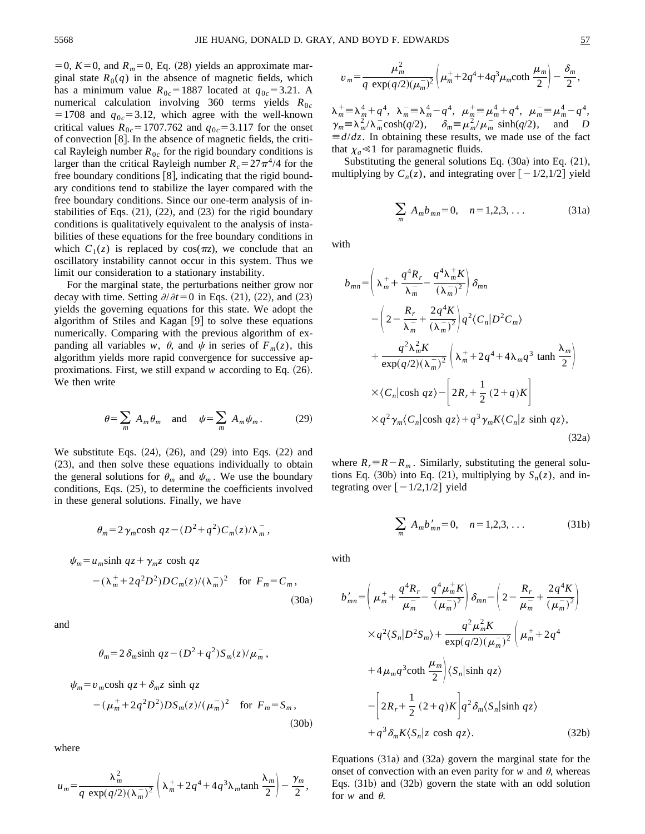$=0$ ,  $K=0$ , and  $R_m=0$ , Eq. (28) yields an approximate marginal state  $R_0(q)$  in the absence of magnetic fields, which has a minimum value  $R_{0c} = 1887$  located at  $q_{0c} = 3.21$ . A numerical calculation involving 360 terms yields  $R_{0c}$ =1708 and  $q_{0c}$ =3.12, which agree with the well-known critical values  $R_{0c} = 1707.762$  and  $q_{0c} = 3.117$  for the onset of convection  $[8]$ . In the absence of magnetic fields, the critical Rayleigh number  $R_{0c}$  for the rigid boundary conditions is larger than the critical Rayleigh number  $R_c = 27\pi^4/4$  for the free boundary conditions  $[8]$ , indicating that the rigid boundary conditions tend to stabilize the layer compared with the free boundary conditions. Since our one-term analysis of instabilities of Eqs.  $(21)$ ,  $(22)$ , and  $(23)$  for the rigid boundary conditions is qualitatively equivalent to the analysis of instabilities of these equations for the free boundary conditions in which  $C_1(z)$  is replaced by  $\cos(\pi z)$ , we conclude that an oscillatory instability cannot occur in this system. Thus we limit our consideration to a stationary instability.

For the marginal state, the perturbations neither grow nor decay with time. Setting  $\partial/\partial t = 0$  in Eqs. (21), (22), and (23) yields the governing equations for this state. We adopt the algorithm of Stiles and Kagan  $[9]$  to solve these equations numerically. Comparing with the previous algorithm of expanding all variables *w*,  $\theta$ , and  $\psi$  in series of  $F_m(z)$ , this algorithm yields more rapid convergence for successive approximations. First, we still expand *w* according to Eq.  $(26)$ . We then write

$$
\theta = \sum_{m} A_{m} \theta_{m} \quad \text{and} \quad \psi = \sum_{m} A_{m} \psi_{m}. \tag{29}
$$

We substitute Eqs.  $(24)$ ,  $(26)$ , and  $(29)$  into Eqs.  $(22)$  and  $(23)$ , and then solve these equations individually to obtain the general solutions for  $\theta_m$  and  $\psi_m$ . We use the boundary conditions, Eqs.  $(25)$ , to determine the coefficients involved in these general solutions. Finally, we have

$$
\theta_m = 2\gamma_m \cosh\, qz - (D^2 + q^2)C_m(z)/\lambda_m^-,
$$

$$
\psi_m = u_m \sinh qz + \gamma_m z \cosh qz
$$
  
 
$$
-(\lambda_m^+ + 2q^2D^2)DC_m(z)/(\lambda_m^-)^2 \text{ for } F_m = C_m,
$$
  
(30a)

and

$$
\theta_m = 2 \delta_m \sinh q z - (D^2 + q^2) S_m(z) / \mu_m^-,
$$

$$
\psi_m = v_m \cosh qz + \delta_m z \sinh qz
$$
  
 
$$
-(\mu_m^+ + 2q^2D^2)DS_m(z)/(\mu_m^-)^2 \quad \text{for } F_m = S_m,
$$
 (30b)

where

$$
u_m = \frac{\lambda_m^2}{q \exp(q/2)(\lambda_m^-)^2} \left( \lambda_m^+ + 2q^4 + 4q^3 \lambda_m \tanh \frac{\lambda_m}{2} \right) - \frac{\gamma_m}{2},
$$

$$
v_m = \frac{\mu_m^2}{q \exp(q/2)(\mu_m^-)^2} \left( \mu_m^+ + 2q^4 + 4q^3 \mu_m \coth \frac{\mu_m}{2} \right) - \frac{\delta_m}{2},
$$

 $\lambda_m^+ \equiv \lambda_m^4 + q^4$ ,  $\lambda_m^- \equiv \lambda_m^4 - q^4$ ,  $\mu_m^+ \equiv \mu_m^4 + q^4$ ,  $\mu_m^- \equiv \mu_m^4 - q^4$ ,  $\gamma_m \equiv \lambda_m^2 / \lambda_m^{\text{ } -} \cosh(q/2), \quad \delta_m \equiv \mu_m^2 / \mu_m^{\text{ } -} \sinh(q/2), \quad \text{and} \quad D$  $\equiv d/dz$ . In obtaining these results, we made use of the fact that  $\chi_a \ll 1$  for paramagnetic fluids.

Substituting the general solutions Eq.  $(30a)$  into Eq.  $(21)$ , multiplying by  $C_n(z)$ , and integrating over  $[-1/2,1/2]$  yield

$$
\sum_{m} A_{m}b_{mn} = 0, \quad n = 1, 2, 3, \dots
$$
 (31a)

with

$$
b_{mn} = \left(\lambda_m^+ + \frac{q^4 R_r}{\lambda_m^-} - \frac{q^4 \lambda_m^+ K}{(\lambda_m^-)^2}\right) \delta_{mn}
$$
  
\n
$$
- \left(2 - \frac{R_r}{\lambda_m^-} + \frac{2q^4 K}{(\lambda_m^-)^2}\right) q^2 \langle C_n | D^2 C_m \rangle
$$
  
\n
$$
+ \frac{q^2 \lambda_m^2 K}{\exp(q/2) (\lambda_m^-)^2} \left(\lambda_m^+ + 2q^4 + 4\lambda_m q^3 \tanh \frac{\lambda_m}{2}\right)
$$
  
\n
$$
\times \langle C_n | \cosh q z \rangle - \left[2R_r + \frac{1}{2} (2 + q) K\right]
$$
  
\n
$$
\times q^2 \gamma_m \langle C_n | \cosh q z \rangle + q^3 \gamma_m K \langle C_n | z \sinh q z \rangle,
$$
  
\n(32a)

where  $R_r \equiv R - R_m$ . Similarly, substituting the general solutions Eq. (30b) into Eq. (21), multiplying by  $S_n(z)$ , and integrating over  $[-1/2,1/2]$  yield

$$
\sum_{m} A_{m} b'_{mn} = 0, \quad n = 1, 2, 3, \dots
$$
 (31b)

with

$$
b'_{mn} = \left(\mu_m^+ + \frac{q^4 R_r}{\mu_m^-} - \frac{q^4 \mu_m^+ K}{(\mu_m^-)^2}\right) \delta_{mn} - \left(2 - \frac{R_r}{\mu_m^-} + \frac{2q^4 K}{(\mu_m^-)^2}\right)
$$
  

$$
\times q^2 \langle S_n | D^2 S_m \rangle + \frac{q^2 \mu_m^2 K}{\exp(q/2) (\mu_m^-)^2} \left(\mu_m^+ + 2q^4\right)
$$
  

$$
+ 4 \mu_m q^3 \coth \frac{\mu_m}{2} \langle S_n | \sinh q z \rangle
$$
  

$$
- \left[2R_r + \frac{1}{2} (2+q)K\right] q^2 \delta_m \langle S_n | \sinh q z \rangle
$$
  

$$
+ q^3 \delta_m K \langle S_n | z \cosh q z \rangle.
$$
 (32b)

Equations  $(31a)$  and  $(32a)$  govern the marginal state for the onset of convection with an even parity for *w* and  $\theta$ , whereas Eqs.  $(31b)$  and  $(32b)$  govern the state with an odd solution for *w* and  $\theta$ .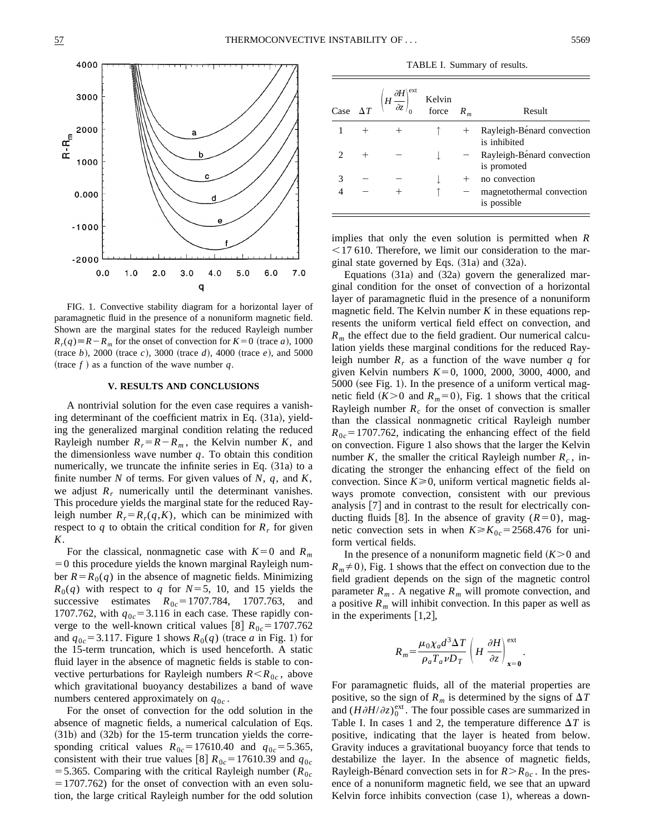

FIG. 1. Convective stability diagram for a horizontal layer of paramagnetic fluid in the presence of a nonuniform magnetic field. Shown are the marginal states for the reduced Rayleigh number  $R_r(q) \equiv R - R_m$  for the onset of convection for  $K=0$  (trace *a*), 1000  $({\text{trace } b})$ , 2000  $({\text{trace } c})$ , 3000  $({\text{trace } d})$ , 4000  $({\text{trace } e})$ , and 5000  $(\text{trace } f)$  as a function of the wave number *q*.

## **V. RESULTS AND CONCLUSIONS**

A nontrivial solution for the even case requires a vanishing determinant of the coefficient matrix in Eq.  $(31a)$ , yielding the generalized marginal condition relating the reduced Rayleigh number  $R_r = R - R_m$ , the Kelvin number *K*, and the dimensionless wave number  $q$ . To obtain this condition numerically, we truncate the infinite series in Eq.  $(31a)$  to a finite number *N* of terms. For given values of *N*, *q*, and *K*, we adjust  $R_r$  numerically until the determinant vanishes. This procedure yields the marginal state for the reduced Rayleigh number  $R_r = R_r(q,K)$ , which can be minimized with respect to  $q$  to obtain the critical condition for  $R_r$  for given *K*.

For the classical, nonmagnetic case with  $K=0$  and  $R_m$  $=0$  this procedure yields the known marginal Rayleigh number  $R = R_0(q)$  in the absence of magnetic fields. Minimizing  $R_0(q)$  with respect to *q* for *N*=5, 10, and 15 yields the successive estimates  $R_{0c} = 1707.784$ , 1707.763, and 1707.762, with  $q_{0c}$ =3.116 in each case. These rapidly converge to the well-known critical values [8]  $R_{0c} = 1707.762$ and  $q_{0c}$ =3.117. Figure 1 shows  $R_0(q)$  (trace *a* in Fig. 1) for the 15-term truncation, which is used henceforth. A static fluid layer in the absence of magnetic fields is stable to convective perturbations for Rayleigh numbers  $R \le R_{0c}$ , above which gravitational buoyancy destabilizes a band of wave numbers centered approximately on *q*0*<sup>c</sup>* .

For the onset of convection for the odd solution in the absence of magnetic fields, a numerical calculation of Eqs.  $(31b)$  and  $(32b)$  for the 15-term truncation yields the corresponding critical values  $R_{0c} = 17610.40$  and  $q_{0c} = 5.365$ , consistent with their true values [8]  $R_{0c} = 17610.39$  and  $q_{0c}$  $=$  5.365. Comparing with the critical Rayleigh number ( $R_{0c}$  $=1707.762$ ) for the onset of convection with an even solution, the large critical Rayleigh number for the odd solution

| Case | $\Delta T$ | ext | Kelvin<br>force | $R_m$ | Result                                     |
|------|------------|-----|-----------------|-------|--------------------------------------------|
|      |            |     |                 | $+$   | Rayleigh-Bénard convection<br>is inhibited |
|      |            |     |                 |       | Rayleigh-Bénard convection<br>is promoted  |
| 3    |            |     |                 | $^+$  | no convection                              |
|      |            |     |                 |       | magnetothermal convection<br>is possible   |

TABLE I. Summary of results.

implies that only the even solution is permitted when *R*  $\leq$  17 610. Therefore, we limit our consideration to the marginal state governed by Eqs.  $(31a)$  and  $(32a)$ .

Equations  $(31a)$  and  $(32a)$  govern the generalized marginal condition for the onset of convection of a horizontal layer of paramagnetic fluid in the presence of a nonuniform magnetic field. The Kelvin number  $K$  in these equations represents the uniform vertical field effect on convection, and *R<sub>m</sub>* the effect due to the field gradient. Our numerical calculation yields these marginal conditions for the reduced Rayleigh number  $R_r$  as a function of the wave number q for given Kelvin numbers  $K=0$ , 1000, 2000, 3000, 4000, and  $5000$  (see Fig. 1). In the presence of a uniform vertical magnetic field  $(K>0$  and  $R_m=0)$ , Fig. 1 shows that the critical Rayleigh number  $R_c$  for the onset of convection is smaller than the classical nonmagnetic critical Rayleigh number  $R_{0c}$ =1707.762, indicating the enhancing effect of the field on convection. Figure 1 also shows that the larger the Kelvin number *K*, the smaller the critical Rayleigh number  $R_c$ , indicating the stronger the enhancing effect of the field on convection. Since  $K \ge 0$ , uniform vertical magnetic fields always promote convection, consistent with our previous analysis  $[7]$  and in contrast to the result for electrically conducting fluids [8]. In the absence of gravity  $(R=0)$ , magnetic convection sets in when  $K \ge K_{0c} = 2568.476$  for uniform vertical fields.

In the presence of a nonuniform magnetic field  $(K>0)$  and  $R_m \neq 0$ ), Fig. 1 shows that the effect on convection due to the field gradient depends on the sign of the magnetic control parameter  $R_m$ . A negative  $R_m$  will promote convection, and a positive  $R_m$  will inhibit convection. In this paper as well as in the experiments  $\lfloor 1,2 \rfloor$ ,

$$
R_m = \frac{\mu_0 \chi_a d^3 \Delta T}{\rho_a T_a \nu D_T} \left( H \frac{\partial H}{\partial z} \right)_{\mathbf{x} = \mathbf{0}}^{\text{ext}}.
$$

For paramagnetic fluids, all of the material properties are positive, so the sign of  $R_m$  is determined by the signs of  $\Delta T$ and  $(H\partial H/\partial z)^{\text{ext}}_0$ . The four possible cases are summarized in Table I. In cases 1 and 2, the temperature difference  $\Delta T$  is positive, indicating that the layer is heated from below. Gravity induces a gravitational buoyancy force that tends to destabilize the layer. In the absence of magnetic fields, Rayleigh-Be $\hat{\text{e}}$ nard convection sets in for  $R > R_{0c}$ . In the presence of a nonuniform magnetic field, we see that an upward Kelvin force inhibits convection  $(case 1)$ , whereas a down-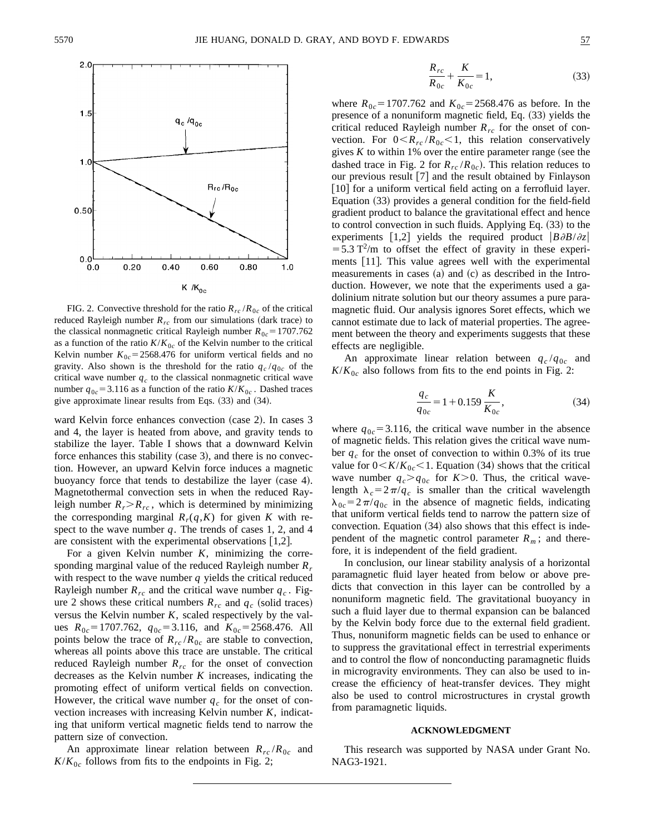

FIG. 2. Convective threshold for the ratio  $R_{rc}/R_{0c}$  of the critical reduced Rayleigh number  $R_{rc}$  from our simulations (dark trace) to the classical nonmagnetic critical Rayleigh number  $R_{0c} = 1707.762$ as a function of the ratio  $K/K_{0c}$  of the Kelvin number to the critical Kelvin number  $K_{0c}$ =2568.476 for uniform vertical fields and no gravity. Also shown is the threshold for the ratio  $q_c / q_{0c}$  of the critical wave number  $q_c$  to the classical nonmagnetic critical wave number  $q_{0c}$ =3.116 as a function of the ratio  $K/K_{0c}$ . Dashed traces give approximate linear results from Eqs.  $(33)$  and  $(34)$ .

ward Kelvin force enhances convection (case 2). In cases 3 and 4, the layer is heated from above, and gravity tends to stabilize the layer. Table I shows that a downward Kelvin force enhances this stability (case 3), and there is no convection. However, an upward Kelvin force induces a magnetic buoyancy force that tends to destabilize the layer (case 4). Magnetothermal convection sets in when the reduced Rayleigh number  $R_r > R_{rc}$ , which is determined by minimizing the corresponding marginal  $R_r(q,K)$  for given *K* with respect to the wave number *q*. The trends of cases 1, 2, and 4 are consistent with the experimental observations  $[1,2]$ .

For a given Kelvin number *K*, minimizing the corresponding marginal value of the reduced Rayleigh number *Rr* with respect to the wave number *q* yields the critical reduced Rayleigh number  $R_{rc}$  and the critical wave number  $q_c$ . Figure 2 shows these critical numbers  $R_{rc}$  and  $q_c$  (solid traces) versus the Kelvin number *K*, scaled respectively by the values  $R_{0c} = 1707.762$ ,  $q_{0c} = 3.116$ , and  $K_{0c} = 2568.476$ . All points below the trace of  $R_{rc}/R_{0c}$  are stable to convection, whereas all points above this trace are unstable. The critical reduced Rayleigh number  $R_{rc}$  for the onset of convection decreases as the Kelvin number *K* increases, indicating the promoting effect of uniform vertical fields on convection. However, the critical wave number  $q_c$  for the onset of convection increases with increasing Kelvin number *K*, indicating that uniform vertical magnetic fields tend to narrow the pattern size of convection.

An approximate linear relation between  $R_{rc}/R_{0c}$  and  $K/K_{0c}$  follows from fits to the endpoints in Fig. 2;

$$
\frac{R_{rc}}{R_{0c}} + \frac{K}{K_{0c}} = 1,
$$
\n(33)

where  $R_{0c} = 1707.762$  and  $K_{0c} = 2568.476$  as before. In the presence of a nonuniform magnetic field, Eq.  $(33)$  yields the critical reduced Rayleigh number  $R_{rc}$  for the onset of convection. For  $0 < R_{rc}/R_{0c} < 1$ , this relation conservatively gives  $K$  to within 1% over the entire parameter range (see the dashed trace in Fig. 2 for  $R_{rc}/R_{0c}$ ). This relation reduces to our previous result  $[7]$  and the result obtained by Finlayson [10] for a uniform vertical field acting on a ferrofluid layer. Equation (33) provides a general condition for the field-field gradient product to balance the gravitational effect and hence to control convection in such fluids. Applying Eq.  $(33)$  to the experiments [1,2] yields the required product  $\left| B \frac{\partial B}{\partial z} \right|$  $=$  5.3 T<sup>2</sup>/m to offset the effect of gravity in these experiments  $[11]$ . This value agrees well with the experimental measurements in cases  $(a)$  and  $(c)$  as described in the Introduction. However, we note that the experiments used a gadolinium nitrate solution but our theory assumes a pure paramagnetic fluid. Our analysis ignores Soret effects, which we cannot estimate due to lack of material properties. The agreement between the theory and experiments suggests that these effects are negligible.

An approximate linear relation between  $q_c/q_{0c}$  and  $K/K_{0c}$  also follows from fits to the end points in Fig. 2:

$$
\frac{q_c}{q_{0c}} = 1 + 0.159 \frac{K}{K_{0c}},
$$
\n(34)

where  $q_{0c}$ =3.116, the critical wave number in the absence of magnetic fields. This relation gives the critical wave number  $q_c$  for the onset of convection to within 0.3% of its true value for  $0 \leq K/K_{0c} \leq 1$ . Equation (34) shows that the critical wave number  $q_c > q_{0c}$  for  $K > 0$ . Thus, the critical wavelength  $\lambda_c = 2\pi/q_c$  is smaller than the critical wavelength  $\lambda_{0c} = 2\pi/q_{0c}$  in the absence of magnetic fields, indicating that uniform vertical fields tend to narrow the pattern size of convection. Equation  $(34)$  also shows that this effect is independent of the magnetic control parameter  $R_m$ ; and therefore, it is independent of the field gradient.

In conclusion, our linear stability analysis of a horizontal paramagnetic fluid layer heated from below or above predicts that convection in this layer can be controlled by a nonuniform magnetic field. The gravitational buoyancy in such a fluid layer due to thermal expansion can be balanced by the Kelvin body force due to the external field gradient. Thus, nonuniform magnetic fields can be used to enhance or to suppress the gravitational effect in terrestrial experiments and to control the flow of nonconducting paramagnetic fluids in microgravity environments. They can also be used to increase the efficiency of heat-transfer devices. They might also be used to control microstructures in crystal growth from paramagnetic liquids.

### **ACKNOWLEDGMENT**

This research was supported by NASA under Grant No. NAG3-1921.